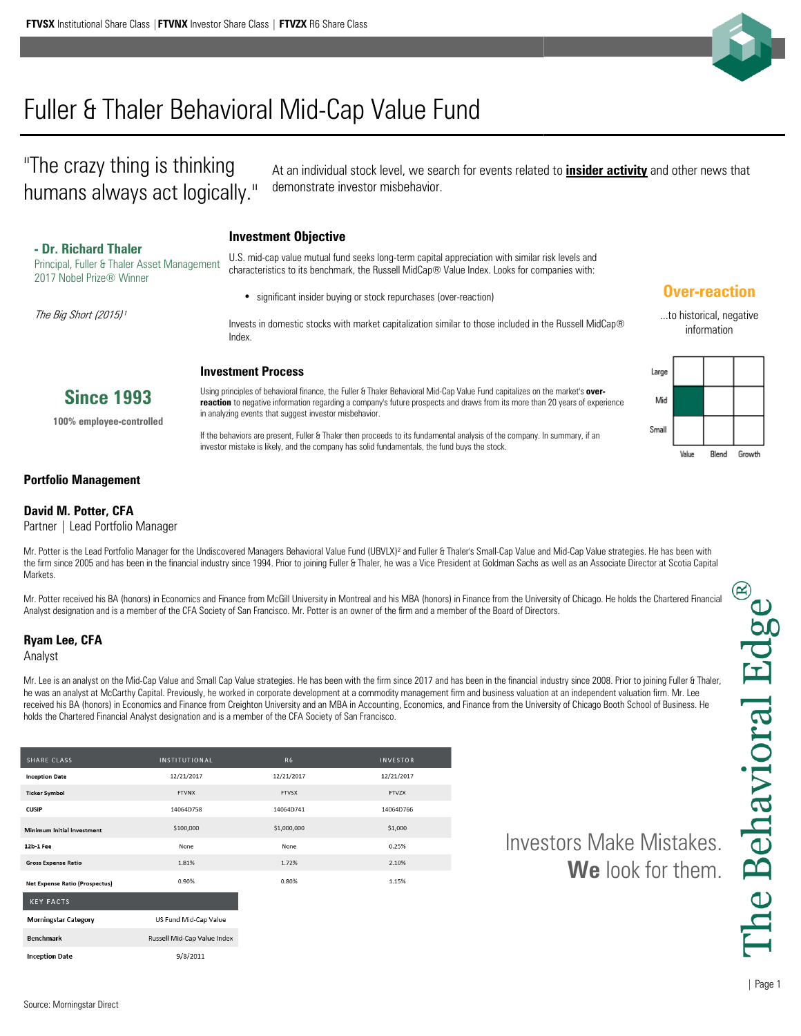

# Fuller & Thaler Behavioral Mid-Cap Value Fund

"The crazy thing is thinking humans always act logically."

At an individual stock level, we search for events related to **insider activity** and other news that demonstrate investor misbehavior.

## **Investment Objective - Dr. Richard Thaler**

Principal, Fuller & Thaler Asset Management 2017 Nobel Prize® Winner

The Big Short (2015)<sup>1</sup>

U.S. mid-cap value mutual fund seeks long-term capital appreciation with similar risk levels and characteristics to its benchmark, the Russell MidCap® Value Index. Looks for companies with:

significant insider buying or stock repurchases (over-reaction)

Invests in domestic stocks with market capitalization similar to those included in the Russell MidCap® Index.

#### **Investment Process**

Using principles of behavioral finance, the Fuller & Thaler Behavioral Mid-Cap Value Fund capitalizes on the market's **overreaction** to negative information regarding a company's future prospects and draws from its more than 20 years of experience in analyzing events that suggest investor misbehavior.

If the behaviors are present, Fuller & Thaler then proceeds to its fundamental analysis of the company. In summary, if an investor mistake is likely, and the company has solid fundamentals, the fund buys the stock.

### **Over-reaction**

...to historical, negative information



#### **Portfolio Management**

#### **David M. Potter, CFA**

Partner | Lead Portfolio Manager

**Since 1993 100% employee-controlled**

Mr. Potter is the Lead Portfolio Manager for the Undiscovered Managers Behavioral Value Fund (UBVLX)<sup>2</sup> and Fuller & Thaler's Small-Cap Value and Mid-Cap Value strategies. He has been with the firm since 2005 and has been in the financial industry since 1994. Prior to joining Fuller & Thaler, he was a Vice President at Goldman Sachs as well as an Associate Director at Scotia Capital **Markets** 

Mr. Potter received his BA (honors) in Economics and Finance from McGill University in Montreal and his MBA (honors) in Finance from the University of Chicago. He holds the Chartered Financial Analyst designation and is a member of the CFA Society of San Francisco. Mr. Potter is an owner of the firm and a member of the Board of Directors.

#### **Ryam Lee, CFA**

Analyst

Mr. Lee is an analyst on the Mid-Cap Value and Small Cap Value strategies. He has been with the firm since 2017 and has been in the financial industry since 2008. Prior to joining Fuller & Thaler, he was an analyst at McCarthy Capital. Previously, he worked in corporate development at a commodity management firm and business valuation at an independent valuation firm. Mr. Lee received his BA (honors) in Economics and Finance from Creighton University and an MBA in Accounting, Economics, and Finance from the University of Chicago Booth School of Business. He holds the Chartered Financial Analyst designation and is a member of the CFA Society of San Francisco.

| <b>SHARE CLASS</b>                    | <b>INSTITUTIONAL</b>        | <b>R6</b>    |
|---------------------------------------|-----------------------------|--------------|
| <b>Inception Date</b>                 | 12/21/2017                  | 12/21/2017   |
| <b>Ticker Symbol</b>                  | <b>FTVNX</b>                | <b>FTVSX</b> |
| <b>CUSIP</b>                          | 14064D758                   | 14064D741    |
| Minimum Initial Investment            | \$100,000                   | \$1,000,000  |
| 12b-1 Fee                             | None                        | None         |
| <b>Gross Expense Ratio</b>            | 1.81%                       | 1.72%        |
| <b>Net Expense Ratio (Prospectus)</b> | 0.90%                       | 0.80%        |
| <b>KEY FACTS</b>                      |                             |              |
| <b>Morningstar Category</b>           | US Fund Mid-Cap Value       |              |
| <b>Benchmark</b>                      | Russell Mid-Can Value Index |              |

9/8/2011

**Inception Date** 

Investors Make Mistakes. **We** look for them.